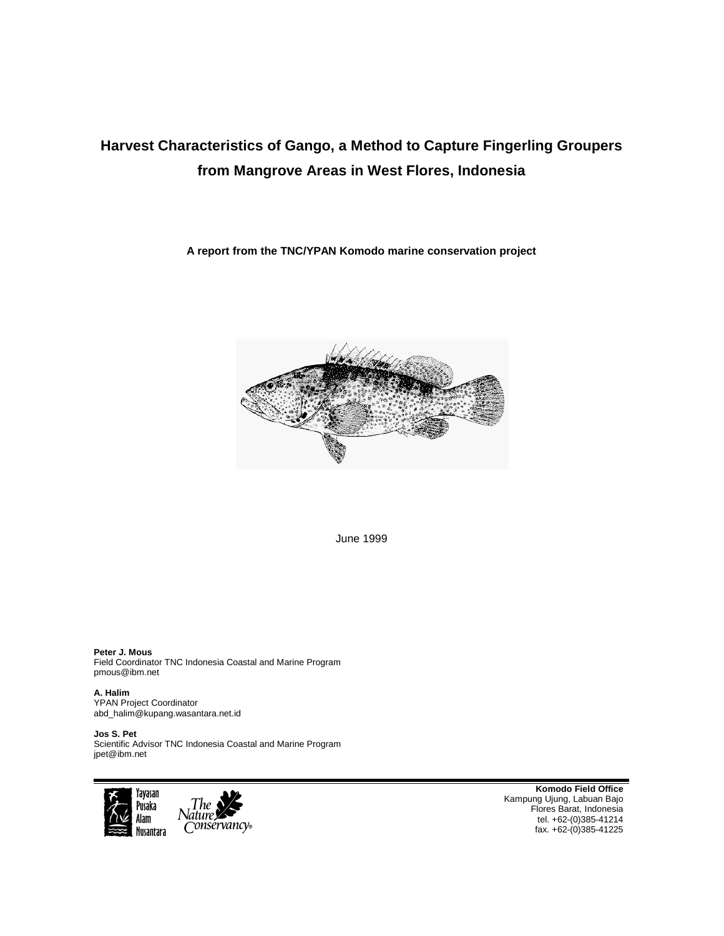# **Harvest Characteristics of Gango, a Method to Capture Fingerling Groupers from Mangrove Areas in West Flores, Indonesia**

**A report from the TNC/YPAN Komodo marine conservation project** 



June 1999

**Peter J. Mous**  Field Coordinator TNC Indonesia Coastal and Marine Program pmous@ibm.net

**A. Halim**  YPAN Project Coordinator abd\_halim@kupang.wasantara.net.id

**Jos S. Pet**  Scientific Advisor TNC Indonesia Coastal and Marine Program jpet@ibm.net



**Komodo Field Office**  Kampung Ujung, Labuan Bajo Flores Barat, Indonesia tel. +62-(0)385-41214 fax. +62-(0)385-41225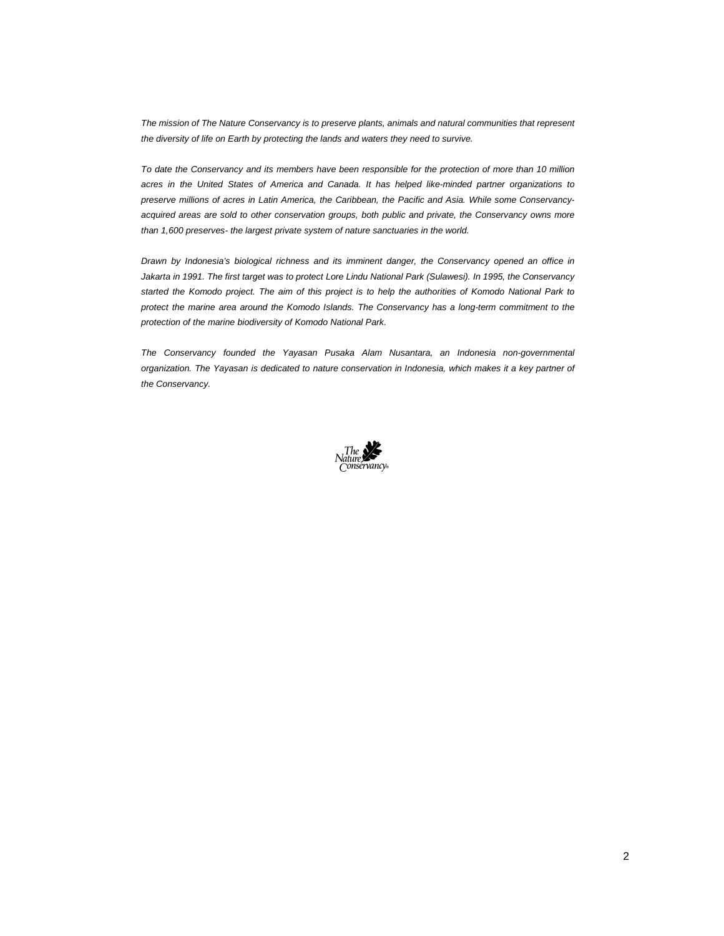*The mission of The Nature Conservancy is to preserve plants, animals and natural communities that represent the diversity of life on Earth by protecting the lands and waters they need to survive.* 

*To date the Conservancy and its members have been responsible for the protection of more than 10 million acres in the United States of America and Canada. It has helped like-minded partner organizations to preserve millions of acres in Latin America, the Caribbean, the Pacific and Asia. While some Conservancyacquired areas are sold to other conservation groups, both public and private, the Conservancy owns more than 1,600 preserves- the largest private system of nature sanctuaries in the world.* 

*Drawn by Indonesia's biological richness and its imminent danger, the Conservancy opened an office in Jakarta in 1991. The first target was to protect Lore Lindu National Park (Sulawesi). In 1995, the Conservancy started the Komodo project. The aim of this project is to help the authorities of Komodo National Park to protect the marine area around the Komodo Islands. The Conservancy has a long-term commitment to the protection of the marine biodiversity of Komodo National Park.* 

*The Conservancy founded the Yayasan Pusaka Alam Nusantara, an Indonesia non-governmental organization. The Yayasan is dedicated to nature conservation in Indonesia, which makes it a key partner of the Conservancy.* 

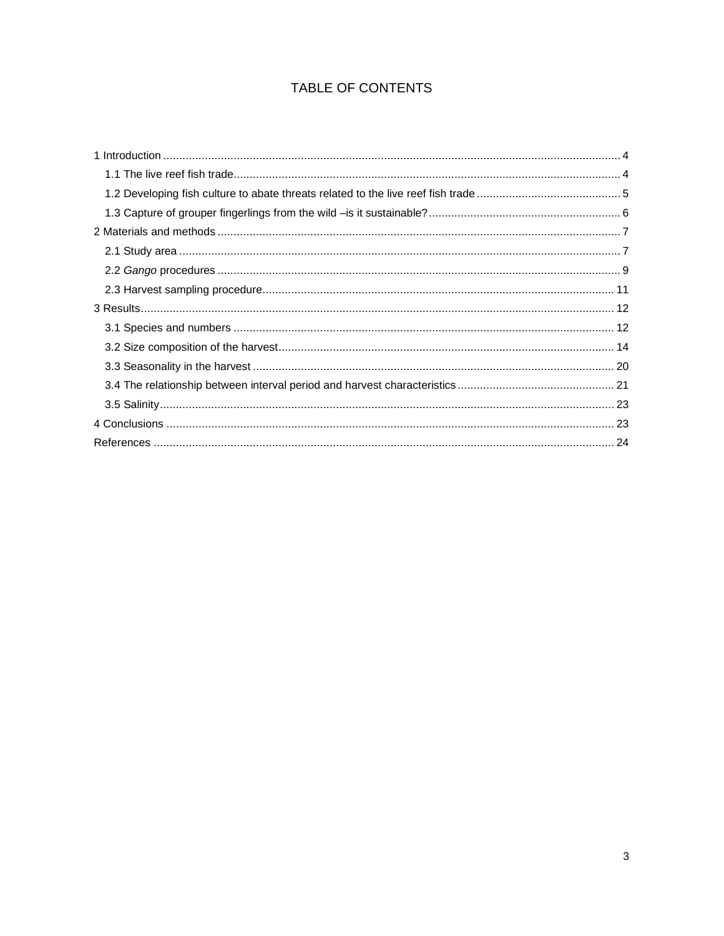## TABLE OF CONTENTS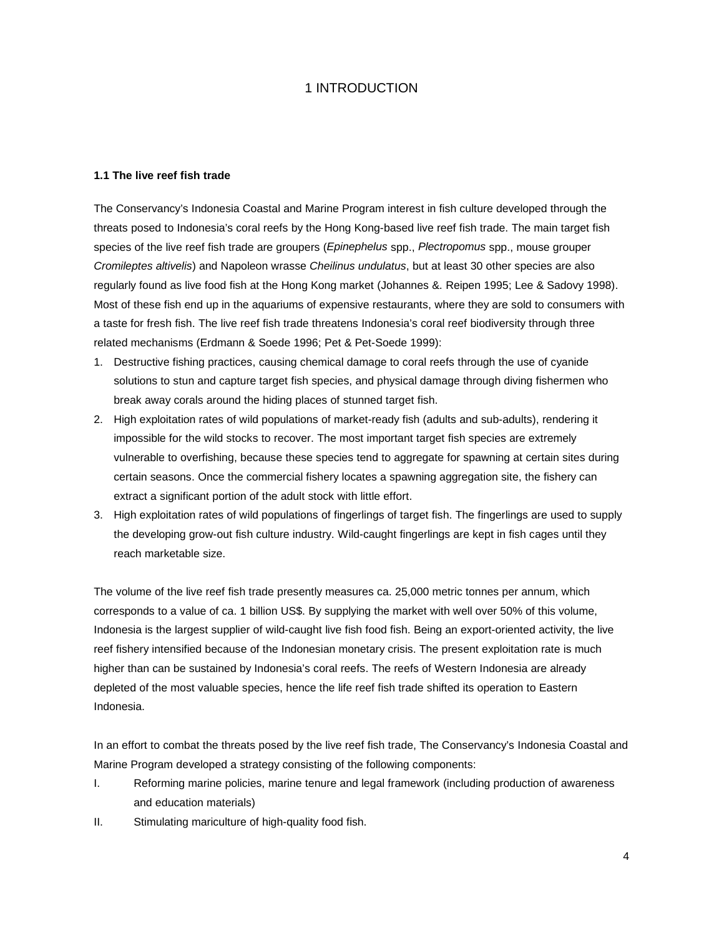### 1 INTRODUCTION

#### **1.1 The live reef fish trade**

The Conservancy's Indonesia Coastal and Marine Program interest in fish culture developed through the threats posed to Indonesia's coral reefs by the Hong Kong-based live reef fish trade. The main target fish species of the live reef fish trade are groupers (*Epinephelus* spp., *Plectropomus* spp., mouse grouper *Cromileptes altivelis*) and Napoleon wrasse *Cheilinus undulatus*, but at least 30 other species are also regularly found as live food fish at the Hong Kong market (Johannes &. Reipen 1995; Lee & Sadovy 1998). Most of these fish end up in the aquariums of expensive restaurants, where they are sold to consumers with a taste for fresh fish. The live reef fish trade threatens Indonesia's coral reef biodiversity through three related mechanisms (Erdmann & Soede 1996; Pet & Pet-Soede 1999):

- 1. Destructive fishing practices, causing chemical damage to coral reefs through the use of cyanide solutions to stun and capture target fish species, and physical damage through diving fishermen who break away corals around the hiding places of stunned target fish.
- 2. High exploitation rates of wild populations of market-ready fish (adults and sub-adults), rendering it impossible for the wild stocks to recover. The most important target fish species are extremely vulnerable to overfishing, because these species tend to aggregate for spawning at certain sites during certain seasons. Once the commercial fishery locates a spawning aggregation site, the fishery can extract a significant portion of the adult stock with little effort.
- 3. High exploitation rates of wild populations of fingerlings of target fish. The fingerlings are used to supply the developing grow-out fish culture industry. Wild-caught fingerlings are kept in fish cages until they reach marketable size.

The volume of the live reef fish trade presently measures ca. 25,000 metric tonnes per annum, which corresponds to a value of ca. 1 billion US\$. By supplying the market with well over 50% of this volume, Indonesia is the largest supplier of wild-caught live fish food fish. Being an export-oriented activity, the live reef fishery intensified because of the Indonesian monetary crisis. The present exploitation rate is much higher than can be sustained by Indonesia's coral reefs. The reefs of Western Indonesia are already depleted of the most valuable species, hence the life reef fish trade shifted its operation to Eastern Indonesia.

In an effort to combat the threats posed by the live reef fish trade, The Conservancy's Indonesia Coastal and Marine Program developed a strategy consisting of the following components:

- I. Reforming marine policies, marine tenure and legal framework (including production of awareness and education materials)
- II. Stimulating mariculture of high-quality food fish.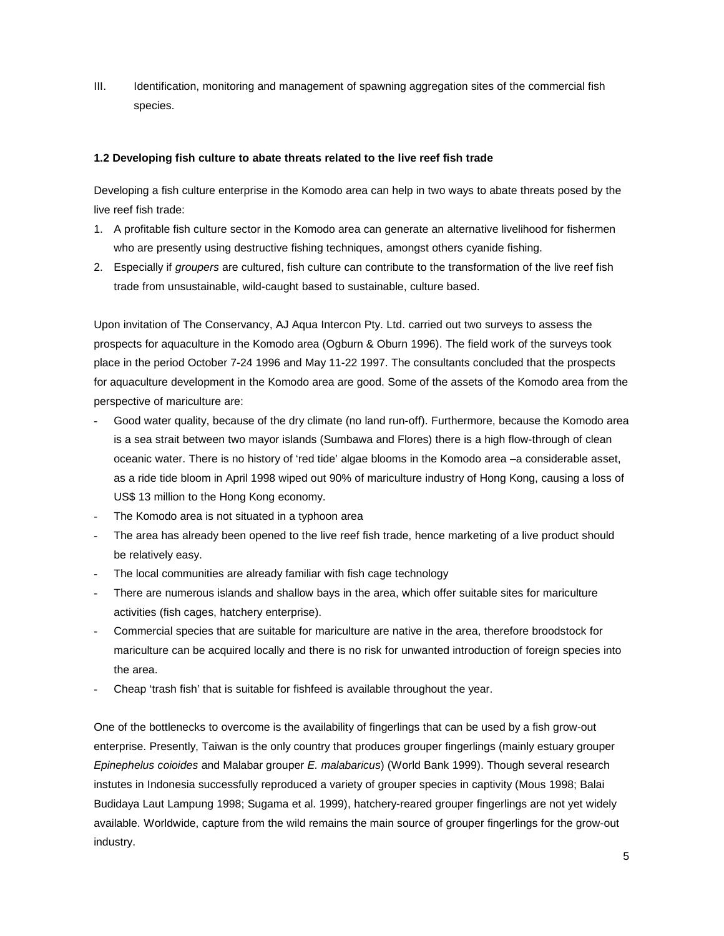III. Identification, monitoring and management of spawning aggregation sites of the commercial fish species.

#### **1.2 Developing fish culture to abate threats related to the live reef fish trade**

Developing a fish culture enterprise in the Komodo area can help in two ways to abate threats posed by the live reef fish trade:

- 1. A profitable fish culture sector in the Komodo area can generate an alternative livelihood for fishermen who are presently using destructive fishing techniques, amongst others cyanide fishing.
- 2. Especially if *groupers* are cultured, fish culture can contribute to the transformation of the live reef fish trade from unsustainable, wild-caught based to sustainable, culture based.

Upon invitation of The Conservancy, AJ Aqua Intercon Pty. Ltd. carried out two surveys to assess the prospects for aquaculture in the Komodo area (Ogburn & Oburn 1996). The field work of the surveys took place in the period October 7-24 1996 and May 11-22 1997. The consultants concluded that the prospects for aquaculture development in the Komodo area are good. Some of the assets of the Komodo area from the perspective of mariculture are:

- Good water quality, because of the dry climate (no land run-off). Furthermore, because the Komodo area is a sea strait between two mayor islands (Sumbawa and Flores) there is a high flow-through of clean oceanic water. There is no history of 'red tide' algae blooms in the Komodo area –a considerable asset, as a ride tide bloom in April 1998 wiped out 90% of mariculture industry of Hong Kong, causing a loss of US\$ 13 million to the Hong Kong economy.
- The Komodo area is not situated in a typhoon area
- The area has already been opened to the live reef fish trade, hence marketing of a live product should be relatively easy.
- The local communities are already familiar with fish cage technology
- There are numerous islands and shallow bays in the area, which offer suitable sites for mariculture activities (fish cages, hatchery enterprise).
- Commercial species that are suitable for mariculture are native in the area, therefore broodstock for mariculture can be acquired locally and there is no risk for unwanted introduction of foreign species into the area.
- Cheap 'trash fish' that is suitable for fishfeed is available throughout the year.

One of the bottlenecks to overcome is the availability of fingerlings that can be used by a fish grow-out enterprise. Presently, Taiwan is the only country that produces grouper fingerlings (mainly estuary grouper *Epinephelus coioides* and Malabar grouper *E. malabaricus*) (World Bank 1999). Though several research instutes in Indonesia successfully reproduced a variety of grouper species in captivity (Mous 1998; Balai Budidaya Laut Lampung 1998; Sugama et al. 1999), hatchery-reared grouper fingerlings are not yet widely available. Worldwide, capture from the wild remains the main source of grouper fingerlings for the grow-out industry.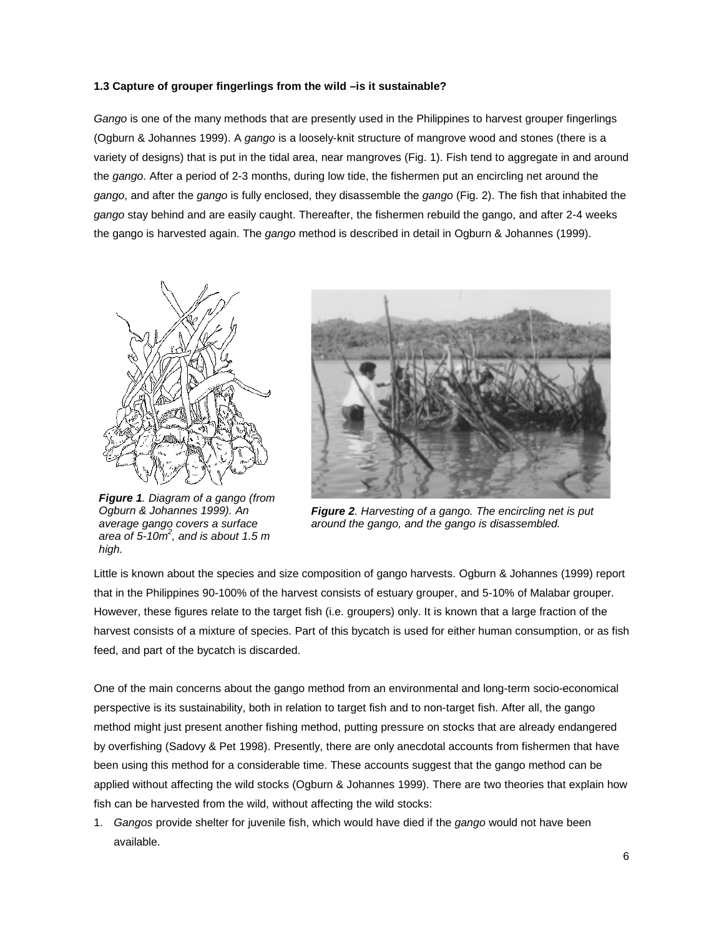#### **1.3 Capture of grouper fingerlings from the wild –is it sustainable?**

*Gango* is one of the many methods that are presently used in the Philippines to harvest grouper fingerlings (Ogburn & Johannes 1999). A *gango* is a loosely-knit structure of mangrove wood and stones (there is a variety of designs) that is put in the tidal area, near mangroves (Fig. 1). Fish tend to aggregate in and around the *gango*. After a period of 2-3 months, during low tide, the fishermen put an encircling net around the *gango*, and after the *gango* is fully enclosed, they disassemble the *gango* (Fig. 2). The fish that inhabited the *gango* stay behind and are easily caught. Thereafter, the fishermen rebuild the gango, and after 2-4 weeks the gango is harvested again. The *gango* method is described in detail in Ogburn & Johannes (1999).



*Figure 1. Diagram of a gango (from Ogburn & Johannes 1999). An average gango covers a surface area of 5-10m<sup>2</sup> , and is about 1.5 m high.* 



*Figure 2. Harvesting of a gango. The encircling net is put around the gango, and the gango is disassembled.* 

Little is known about the species and size composition of gango harvests. Ogburn & Johannes (1999) report that in the Philippines 90-100% of the harvest consists of estuary grouper, and 5-10% of Malabar grouper. However, these figures relate to the target fish (i.e. groupers) only. It is known that a large fraction of the harvest consists of a mixture of species. Part of this bycatch is used for either human consumption, or as fish feed, and part of the bycatch is discarded.

One of the main concerns about the gango method from an environmental and long-term socio-economical perspective is its sustainability, both in relation to target fish and to non-target fish. After all, the gango method might just present another fishing method, putting pressure on stocks that are already endangered by overfishing (Sadovy & Pet 1998). Presently, there are only anecdotal accounts from fishermen that have been using this method for a considerable time. These accounts suggest that the gango method can be applied without affecting the wild stocks (Ogburn & Johannes 1999). There are two theories that explain how fish can be harvested from the wild, without affecting the wild stocks:

1. *Gangos* provide shelter for juvenile fish, which would have died if the *gango* would not have been available.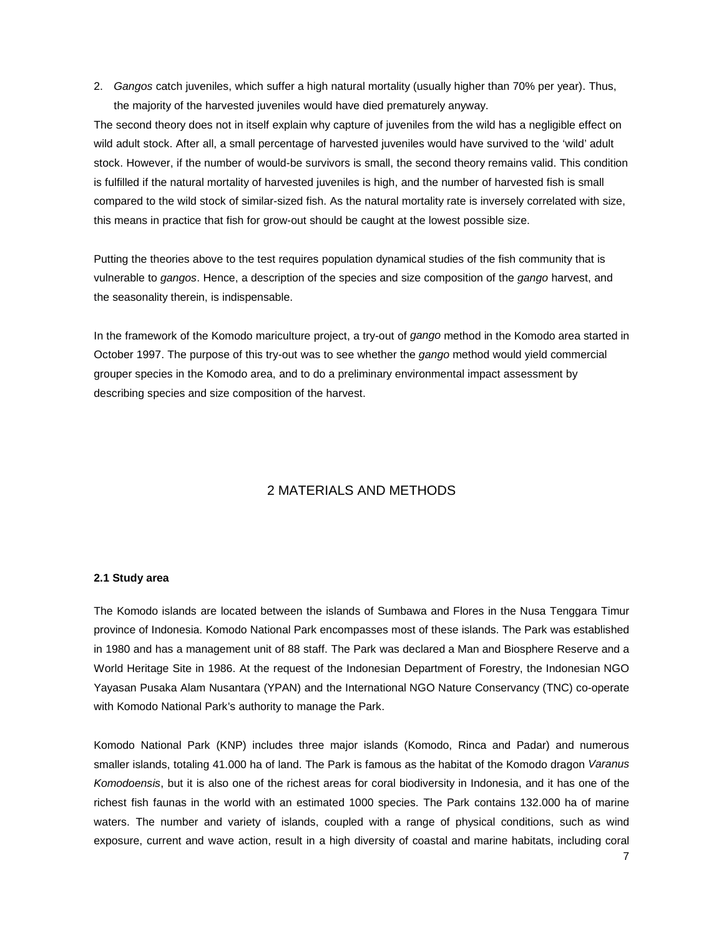2. *Gangos* catch juveniles, which suffer a high natural mortality (usually higher than 70% per year). Thus, the majority of the harvested juveniles would have died prematurely anyway.

The second theory does not in itself explain why capture of juveniles from the wild has a negligible effect on wild adult stock. After all, a small percentage of harvested juveniles would have survived to the 'wild' adult stock. However, if the number of would-be survivors is small, the second theory remains valid. This condition is fulfilled if the natural mortality of harvested juveniles is high, and the number of harvested fish is small compared to the wild stock of similar-sized fish. As the natural mortality rate is inversely correlated with size, this means in practice that fish for grow-out should be caught at the lowest possible size.

Putting the theories above to the test requires population dynamical studies of the fish community that is vulnerable to *gangos*. Hence, a description of the species and size composition of the *gango* harvest, and the seasonality therein, is indispensable.

In the framework of the Komodo mariculture project, a try-out of *gango* method in the Komodo area started in October 1997. The purpose of this try-out was to see whether the *gango* method would yield commercial grouper species in the Komodo area, and to do a preliminary environmental impact assessment by describing species and size composition of the harvest.

## 2 MATERIALS AND METHODS

#### **2.1 Study area**

The Komodo islands are located between the islands of Sumbawa and Flores in the Nusa Tenggara Timur province of Indonesia. Komodo National Park encompasses most of these islands. The Park was established in 1980 and has a management unit of 88 staff. The Park was declared a Man and Biosphere Reserve and a World Heritage Site in 1986. At the request of the Indonesian Department of Forestry, the Indonesian NGO Yayasan Pusaka Alam Nusantara (YPAN) and the International NGO Nature Conservancy (TNC) co-operate with Komodo National Park's authority to manage the Park.

Komodo National Park (KNP) includes three major islands (Komodo, Rinca and Padar) and numerous smaller islands, totaling 41.000 ha of land. The Park is famous as the habitat of the Komodo dragon *Varanus Komodoensis*, but it is also one of the richest areas for coral biodiversity in Indonesia, and it has one of the richest fish faunas in the world with an estimated 1000 species. The Park contains 132.000 ha of marine waters. The number and variety of islands, coupled with a range of physical conditions, such as wind exposure, current and wave action, result in a high diversity of coastal and marine habitats, including coral

7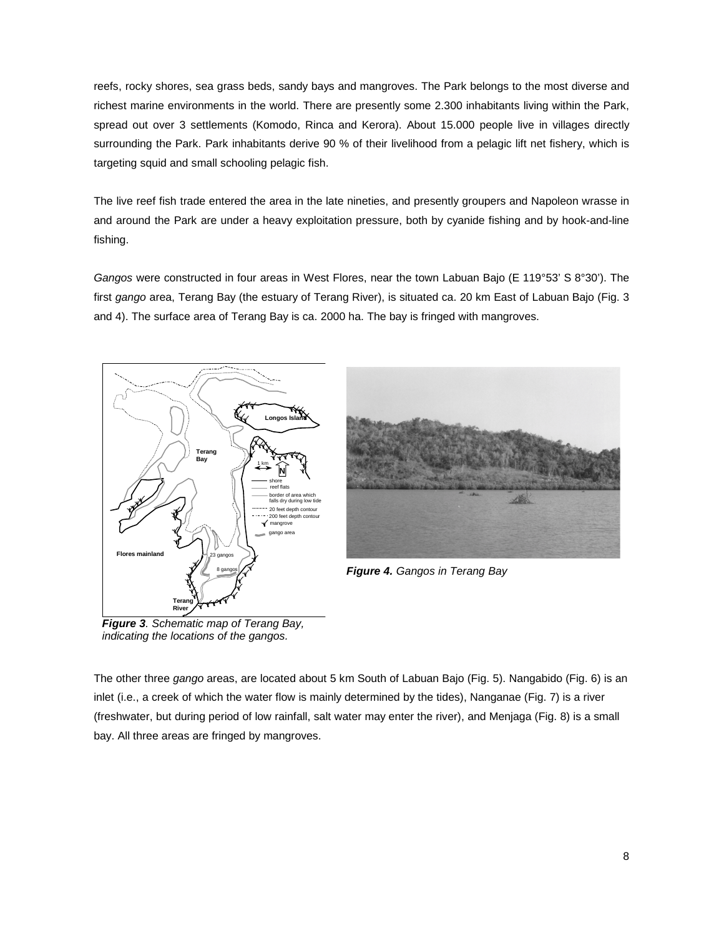reefs, rocky shores, sea grass beds, sandy bays and mangroves. The Park belongs to the most diverse and richest marine environments in the world. There are presently some 2.300 inhabitants living within the Park, spread out over 3 settlements (Komodo, Rinca and Kerora). About 15.000 people live in villages directly surrounding the Park. Park inhabitants derive 90 % of their livelihood from a pelagic lift net fishery, which is targeting squid and small schooling pelagic fish.

The live reef fish trade entered the area in the late nineties, and presently groupers and Napoleon wrasse in and around the Park are under a heavy exploitation pressure, both by cyanide fishing and by hook-and-line fishing.

*Gangos* were constructed in four areas in West Flores, near the town Labuan Bajo (E 119°53' S 8°30'). The first *gango* area, Terang Bay (the estuary of Terang River), is situated ca. 20 km East of Labuan Bajo (Fig. 3 and 4). The surface area of Terang Bay is ca. 2000 ha. The bay is fringed with mangroves.





*Figure 4. Gangos in Terang Bay* 

*Figure 3. Schematic map of Terang Bay, indicating the locations of the gangos.* 

The other three *gango* areas, are located about 5 km South of Labuan Bajo (Fig. 5). Nangabido (Fig. 6) is an inlet (i.e., a creek of which the water flow is mainly determined by the tides), Nanganae (Fig. 7) is a river (freshwater, but during period of low rainfall, salt water may enter the river), and Menjaga (Fig. 8) is a small bay. All three areas are fringed by mangroves.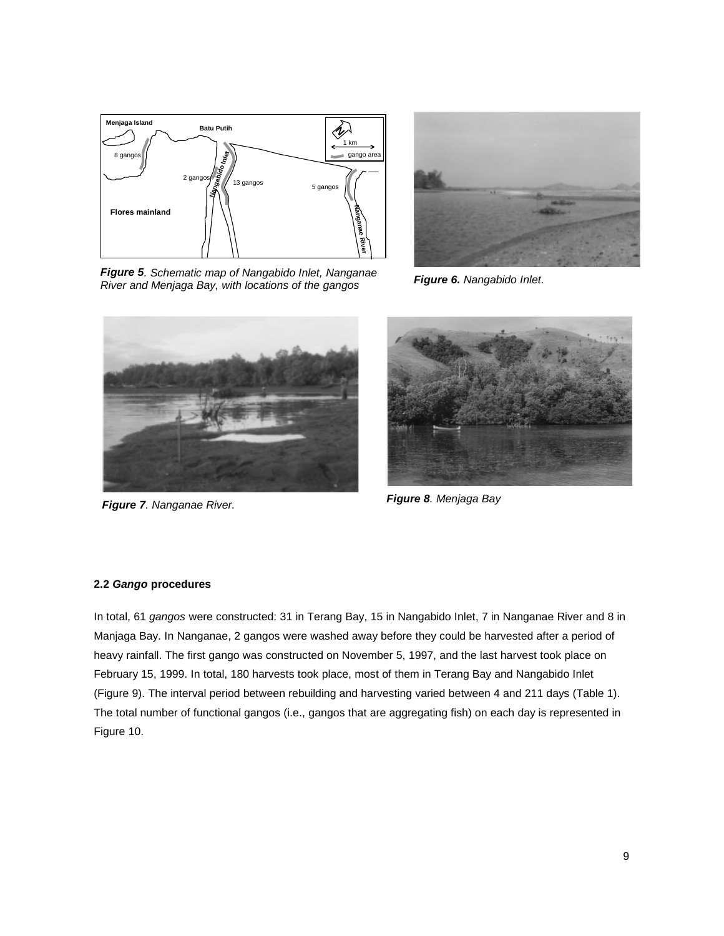

*Figure 5. Schematic map of Nangabido Inlet, Nanganae River and Menjaga Bay, with locations of the gangos Figure 6. Nangabido Inlet.* 





*Figure 7. Nanganae River. Figure 8. Menjaga Bay* 



#### **2.2** *Gango* **procedures**

In total, 61 *gangos* were constructed: 31 in Terang Bay, 15 in Nangabido Inlet, 7 in Nanganae River and 8 in Manjaga Bay. In Nanganae, 2 gangos were washed away before they could be harvested after a period of heavy rainfall. The first gango was constructed on November 5, 1997, and the last harvest took place on February 15, 1999. In total, 180 harvests took place, most of them in Terang Bay and Nangabido Inlet (Figure 9). The interval period between rebuilding and harvesting varied between 4 and 211 days (Table 1). The total number of functional gangos (i.e., gangos that are aggregating fish) on each day is represented in Figure 10.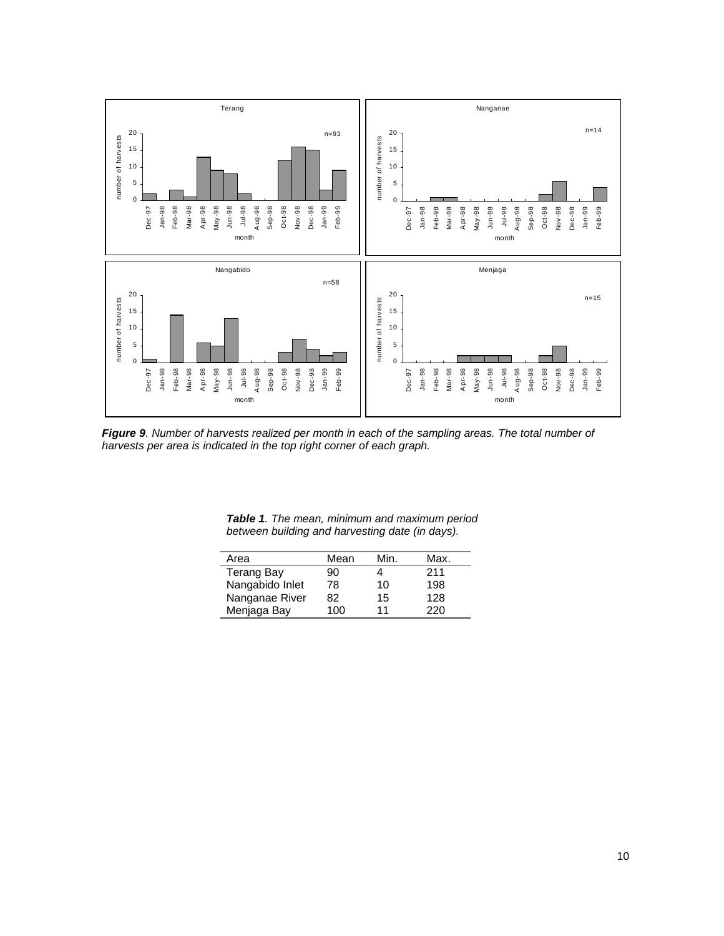

*Figure 9. Number of harvests realized per month in each of the sampling areas. The total number of harvests per area is indicated in the top right corner of each graph.* 

| Area              | Mean | Min. | Max. |
|-------------------|------|------|------|
| <b>Terang Bay</b> | 90   |      | 211  |
| Nangabido Inlet   | 78   | 10   | 198  |
| Nanganae River    | 82   | 15   | 128  |
| Menjaga Bay       | 100  | 11   | 220  |

l, l.

*Table 1. The mean, minimum and maximum period between building and harvesting date (in days).*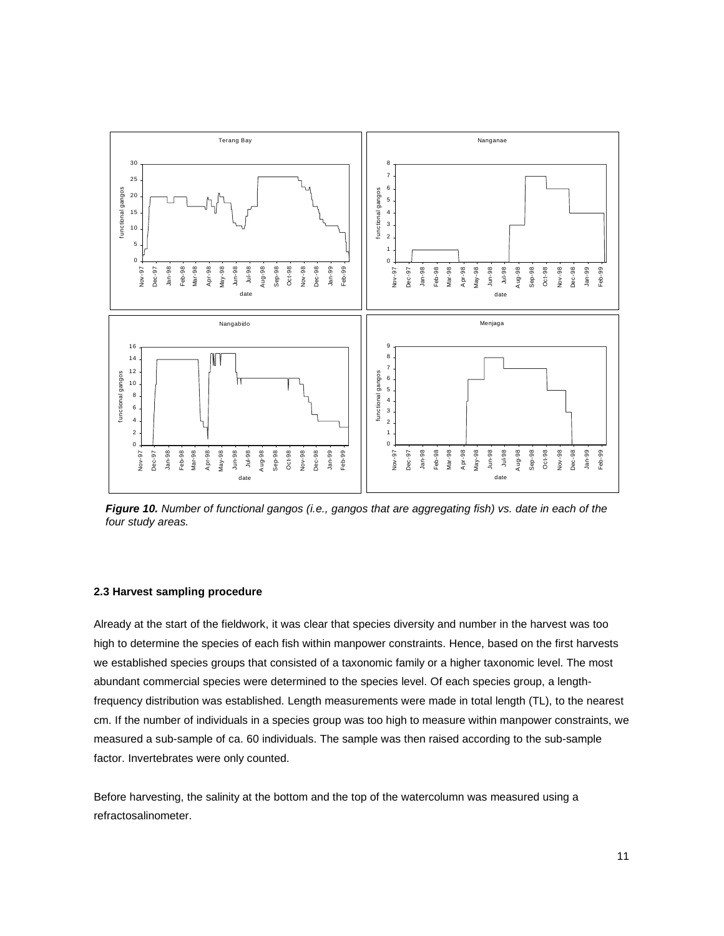

*Figure 10. Number of functional gangos (i.e., gangos that are aggregating fish) vs. date in each of the four study areas.* 

#### **2.3 Harvest sampling procedure**

Already at the start of the fieldwork, it was clear that species diversity and number in the harvest was too high to determine the species of each fish within manpower constraints. Hence, based on the first harvests we established species groups that consisted of a taxonomic family or a higher taxonomic level. The most abundant commercial species were determined to the species level. Of each species group, a lengthfrequency distribution was established. Length measurements were made in total length (TL), to the nearest cm. If the number of individuals in a species group was too high to measure within manpower constraints, we measured a sub-sample of ca. 60 individuals. The sample was then raised according to the sub-sample factor. Invertebrates were only counted.

Before harvesting, the salinity at the bottom and the top of the watercolumn was measured using a refractosalinometer.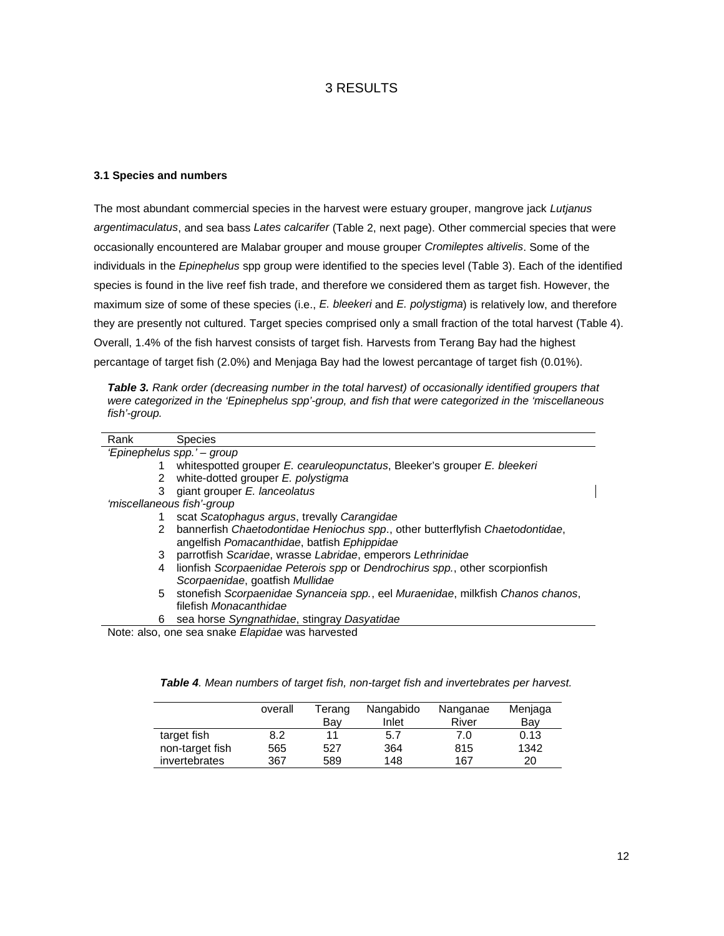## 3 RESULTS

#### **3.1 Species and numbers**

The most abundant commercial species in the harvest were estuary grouper, mangrove jack *Lutjanus argentimaculatus*, and sea bass *Lates calcarifer* (Table 2, next page). Other commercial species that were occasionally encountered are Malabar grouper and mouse grouper *Cromileptes altivelis*. Some of the individuals in the *Epinephelus* spp group were identified to the species level (Table 3). Each of the identified species is found in the live reef fish trade, and therefore we considered them as target fish. However, the maximum size of some of these species (i.e., *E. bleekeri* and *E. polystigma*) is relatively low, and therefore they are presently not cultured. Target species comprised only a small fraction of the total harvest (Table 4). Overall, 1.4% of the fish harvest consists of target fish. Harvests from Terang Bay had the highest percantage of target fish (2.0%) and Menjaga Bay had the lowest percantage of target fish (0.01%).

| <b>Table 3.</b> Rank order (decreasing number in the total harvest) of occasionally identified groupers that |
|--------------------------------------------------------------------------------------------------------------|
| were categorized in the 'Epinephelus spp'-group, and fish that were categorized in the 'miscellaneous        |
| fish'-group.                                                                                                 |

| Rank   | <b>Species</b>                                                                                                               |
|--------|------------------------------------------------------------------------------------------------------------------------------|
|        | 'Epinephelus spp.' – group                                                                                                   |
|        | whitespotted grouper E. cearuleopunctatus, Bleeker's grouper E. bleekeri                                                     |
| $^{2}$ | white-dotted grouper E. polystigma                                                                                           |
| 3      | giant grouper E. lanceolatus                                                                                                 |
|        | 'miscellaneous fish'-group                                                                                                   |
|        | scat Scatophagus argus, trevally Carangidae                                                                                  |
| 2      | bannerfish Chaetodontidae Heniochus spp., other butterflyfish Chaetodontidae,<br>angelfish Pomacanthidae, batfish Ephippidae |
| 3      | parrotfish Scaridae, wrasse Labridae, emperors Lethrinidae                                                                   |
| 4      | lionfish Scorpaenidae Peterois spp or Dendrochirus spp., other scorpionfish<br>Scorpaenidae, goatfish Mullidae               |
| 5      | stonefish Scorpaenidae Synanceia spp., eel Muraenidae, milkfish Chanos chanos,<br>filefish Monacanthidae                     |
| 6      | sea horse Syngnathidae, stingray Dasyatidae                                                                                  |

|  |  |  |  | Table 4. Mean numbers of target fish, non-target fish and invertebrates per harvest. |  |
|--|--|--|--|--------------------------------------------------------------------------------------|--|
|  |  |  |  |                                                                                      |  |

|                 | overall | Terang<br>Bav | Nangabido<br>Inlet | Nanganae<br>River | Menjaga<br>Bay |
|-----------------|---------|---------------|--------------------|-------------------|----------------|
| target fish     | 8.2     | 11            | 5.7                | 7.0               | 0.13           |
| non-target fish | 565     | 527           | 364                | 815               | 1342           |
| invertebrates   | 367     | 589           | 148                | 167               | 20             |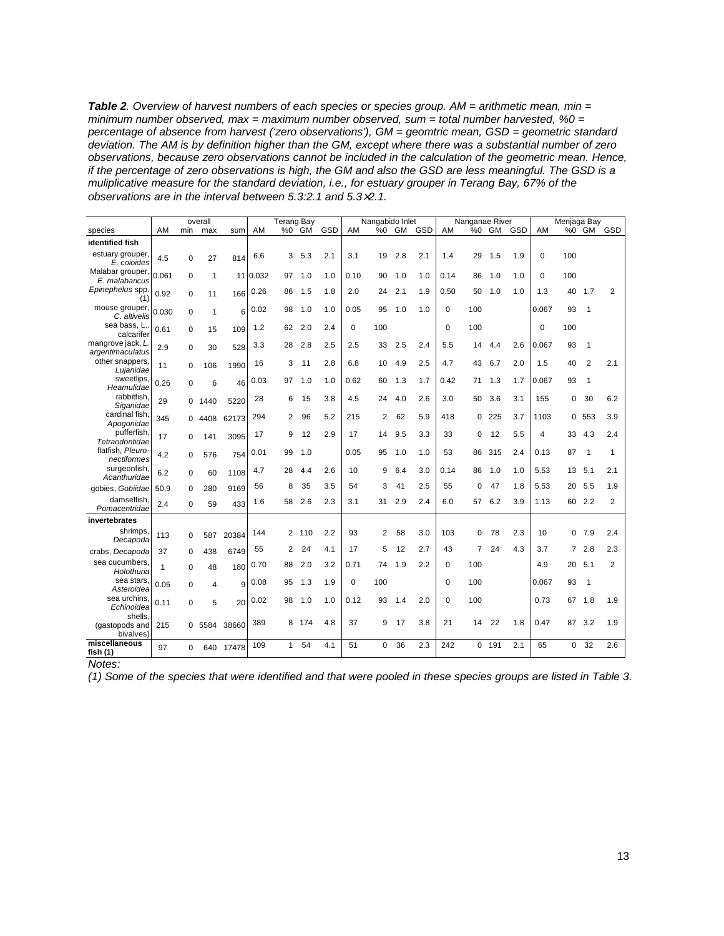*Table 2. Overview of harvest numbers of each species or species group. AM = arithmetic mean, min = minimum number observed, max = maximum number observed, sum = total number harvested, %0 = percentage of absence from harvest ('zero observations'), GM = geomtric mean, GSD = geometric standard deviation. The AM is by definition higher than the GM, except where there was a substantial number of zero observations, because zero observations cannot be included in the calculation of the geometric mean. Hence, if the percentage of zero observations is high, the GM and also the GSD are less meaningful. The GSD is a muliplicative measure for the standard deviation, i.e., for estuary grouper in Terang Bay, 67% of the observations are in the interval between 5.3:2.1 and 5.3*×*2.1.* 

|                                        |       |             | overall      |           |          | Terang Bay   |           |     |          | Nangabido Inlet |     |        |          | Nanganae River |       |     |          | Menjaga Bay |                |                |
|----------------------------------------|-------|-------------|--------------|-----------|----------|--------------|-----------|-----|----------|-----------------|-----|--------|----------|----------------|-------|-----|----------|-------------|----------------|----------------|
| species                                | AM    | min         | max          | sum       | AM       | %0           | <b>GM</b> | GSD | AM       | %0              |     | GM GSD | AM       |                | %0 GM | GSD | AM       |             | %0 GM          | GSD            |
| identified fish                        |       |             |              |           |          |              |           |     |          |                 |     |        |          |                |       |     |          |             |                |                |
| estuary grouper,<br>E. coioides        | 4.5   | $\mathbf 0$ | 27           | 814       | 6.6      | 3            | 5.3       | 2.1 | 3.1      | 19              | 2.8 | 2.1    | 1.4      | 29             | 1.5   | 1.9 | $\Omega$ | 100         |                |                |
| Malabar grouper,<br>E. malabaricus     | 0.061 | 0           | $\mathbf{1}$ |           | 11 0.032 | 97           | 1.0       | 1.0 | 0.10     | 90              | 1.0 | 1.0    | 0.14     | 86             | 1.0   | 1.0 | 0        | 100         |                |                |
| Epinephelus spp.<br>(1)                | 0.92  | 0           | 11           | 166       | 0.26     | 86           | 1.5       | 1.8 | 2.0      | 24              | 2.1 | 1.9    | 0.50     | 50             | 1.0   | 1.0 | 1.3      | 40          | 1.7            | $\overline{2}$ |
| mouse grouper,<br>C. altivelis         | 0.030 | $\mathbf 0$ | $\mathbf{1}$ | 6         | 0.02     | 98           | 1.0       | 1.0 | 0.05     | 95              | 1.0 | 1.0    | 0        | 100            |       |     | 0.067    | 93          | $\mathbf{1}$   |                |
| sea bass, L.<br>calcarifer             | 0.61  | 0           | 15           | 109       | 1.2      | 62           | 2.0       | 2.4 | $\Omega$ | 100             |     |        | $\Omega$ | 100            |       |     | $\Omega$ | 100         |                |                |
| mangrove jack, L<br>argentimaculatus   | 2.9   | 0           | 30           | 528       | 3.3      | 28           | 2.8       | 2.5 | 2.5      | 33              | 2.5 | 2.4    | 5.5      | 14             | 4.4   | 2.6 | 0.067    | 93          | $\mathbf{1}$   |                |
| other snappers.<br>Lujanidae           | 11    | $\Omega$    | 106          | 1990      | 16       | 3            | 11        | 2.8 | 6.8      | 10              | 4.9 | 2.5    | 4.7      | 43             | 6.7   | 2.0 | 1.5      | 40          | $\overline{2}$ | 2.1            |
| sweetlips.<br>Heamulidae               | 0.26  | 0           | 6            | 46        | 0.03     | 97           | 1.0       | 1.0 | 0.62     | 60              | 1.3 | 1.7    | 0.42     | 71             | 1.3   | 1.7 | 0.067    | 93          | $\mathbf{1}$   |                |
| rabbitfish.<br>Siganidae               | 29    | 0           | 1440         | 5220      | 28       | 6            | 15        | 3.8 | 4.5      | 24              | 4.0 | 2.6    | 3.0      | 50             | 3.6   | 3.1 | 155      | 0           | 30             | 6.2            |
| cardinal fish.<br>Apogonidae           | 345   | $\Omega$    | 4408         | 62173     | 294      | 2            | 96        | 5.2 | 215      | $\overline{2}$  | 62  | 5.9    | 418      | 0              | 225   | 3.7 | 1103     | 0           | 553            | 3.9            |
| pufferfish.<br>Tetraodontidae          | 17    | $\Omega$    | 141          | 3095      | 17       | 9            | 12        | 2.9 | 17       | 14              | 9.5 | 3.3    | 33       | 0              | 12    | 5.5 | 4        | 33          | 4.3            | 2.4            |
| flatfish, Pleuro-<br>nectiformes       | 4.2   | $\Omega$    | 576          | 754       | 0.01     | 99           | 1.0       |     | 0.05     | 95              | 1.0 | 1.0    | 53       | 86             | 315   | 2.4 | 0.13     | 87          | -1             | 1              |
| surgeonfish,<br>Acanthuridae           | 6.2   | $\Omega$    | 60           | 1108      | 4.7      | 28           | 4.4       | 2.6 | 10       | 9               | 6.4 | 3.0    | 0.14     | 86             | 1.0   | 1.0 | 5.53     | 13          | 5.1            | 2.1            |
| qobies, Gobiidae                       | 50.9  | $\Omega$    | 280          | 9169      | 56       | 8            | 35        | 3.5 | 54       | 3               | 41  | 2.5    | 55       | 0              | 47    | 1.8 | 5.53     | 20          | 5.5            | 1.9            |
| damselfish.<br>Pomacentridae           | 2.4   | 0           | 59           | 433       | 1.6      | 58           | 2.6       | 2.3 | 3.1      | 31              | 2.9 | 2.4    | 6.0      | 57             | 6.2   | 3.9 | 1.13     | 60          | 2.2            | $\overline{2}$ |
| invertebrates                          |       |             |              |           |          |              |           |     |          |                 |     |        |          |                |       |     |          |             |                |                |
| shrimps.<br>Decapoda                   | 113   | 0           | 587          | 20384     | 144      |              | 2 110     | 2.2 | 93       | 2               | 58  | 3.0    | 103      | 0              | 78    | 2.3 | 10       | 0           | 7.9            | 2.4            |
| crabs, Decapoda                        | 37    | 0           | 438          | 6749      | 55       | 2            | 24        | 4.1 | 17       | 5               | 12  | 2.7    | 43       | 7              | 24    | 4.3 | 3.7      | 7           | 2.8            | 2.3            |
| sea cucumbers.<br>Holothuria           | 1     | $\mathbf 0$ | 48           | 180       | 0.70     | 88           | 2.0       | 3.2 | 0.71     | 74              | 1.9 | 2.2    | 0        | 100            |       |     | 4.9      | 20          | 5.1            | 2              |
| sea stars.<br>Asteroidea               | 0.05  | 0           | 4            | 9         | 0.08     | 95           | 1.3       | 1.9 | 0        | 100             |     |        | $\Omega$ | 100            |       |     | 0.067    | 93          | $\mathbf{1}$   |                |
| sea urchins.<br>Echinoidea             | 0.11  | 0           | 5            | 20        | 0.02     | 98           | 1.0       | 1.0 | 0.12     | 93              | 1.4 | 2.0    | 0        | 100            |       |     | 0.73     | 67          | 1.8            | 1.9            |
| shells.<br>(gastopods and<br>bivalves) | 215   |             | 0 5584       | 38660     | 389      | 8            | 174       | 4.8 | 37       | 9               | 17  | 3.8    | 21       | 14             | 22    | 1.8 | 0.47     | 87          | 3.2            | 1.9            |
| miscellaneous<br>fish $(1)$            | 97    | $\Omega$    |              | 640 17478 | 109      | $\mathbf{1}$ | 54        | 4.1 | 51       | $\Omega$        | 36  | 2.3    | 242      |                | 0.191 | 2.1 | 65       | $\Omega$    | 32             | 2.6            |

*Notes:* 

*(1) Some of the species that were identified and that were pooled in these species groups are listed in Table 3.*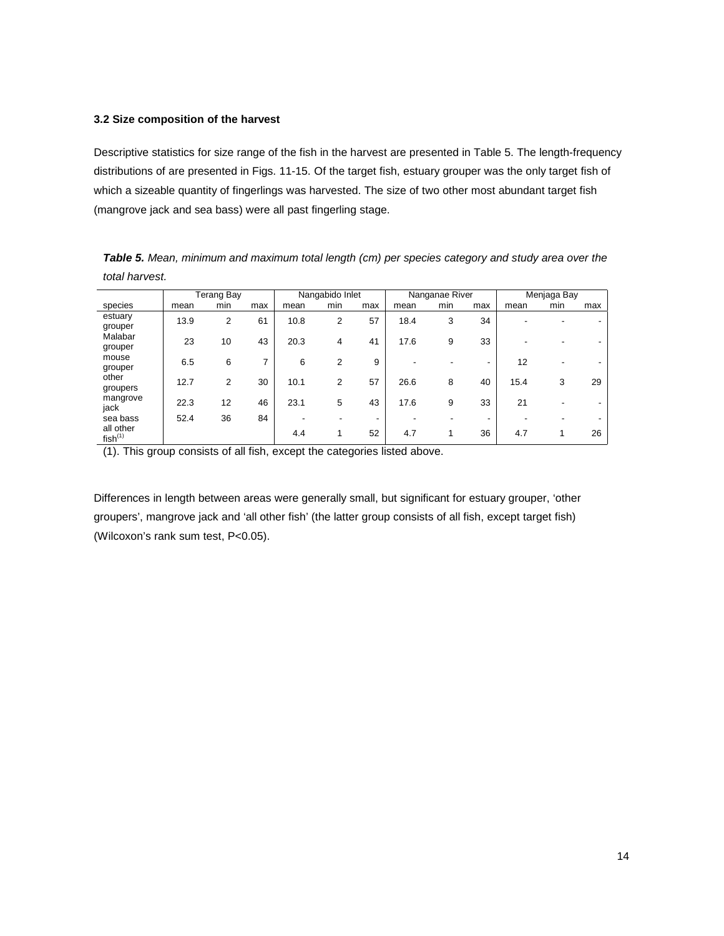#### **3.2 Size composition of the harvest**

Descriptive statistics for size range of the fish in the harvest are presented in Table 5. The length-frequency distributions of are presented in Figs. 11-15. Of the target fish, estuary grouper was the only target fish of which a sizeable quantity of fingerlings was harvested. The size of two other most abundant target fish (mangrove jack and sea bass) were all past fingerling stage.

*Table 5. Mean, minimum and maximum total length (cm) per species category and study area over the total harvest.* 

|                                  |      | Terang Bay |     | Nangabido Inlet |     |     |      | Nanganae River |     | Menjaga Bay |     |     |
|----------------------------------|------|------------|-----|-----------------|-----|-----|------|----------------|-----|-------------|-----|-----|
| species                          | mean | min        | max | mean            | min | max | mean | min            | max | mean        | min | max |
| estuary<br>grouper               | 13.9 | 2          | 61  | 10.8            | 2   | 57  | 18.4 | 3              | 34  |             |     |     |
| Malabar<br>grouper               | 23   | 10         | 43  | 20.3            | 4   | 41  | 17.6 | 9              | 33  |             |     |     |
| mouse<br>grouper                 | 6.5  | 6          | 7   | 6               | 2   | 9   |      |                | -   | 12          |     |     |
| other<br>groupers                | 12.7 | 2          | 30  | 10.1            | 2   | 57  | 26.6 | 8              | 40  | 15.4        | 3   | 29  |
| mangrove<br>jack                 | 22.3 | 12         | 46  | 23.1            | 5   | 43  | 17.6 | 9              | 33  | 21          | ۰   |     |
| sea bass                         | 52.4 | 36         | 84  |                 |     | ۰   |      |                | -   |             |     |     |
| all other<br>fish <sup>(1)</sup> |      |            |     | 4.4             |     | 52  | 4.7  | 1              | 36  | 4.7         |     | 26  |

(1). This group consists of all fish, except the categories listed above.

Differences in length between areas were generally small, but significant for estuary grouper, 'other groupers', mangrove jack and 'all other fish' (the latter group consists of all fish, except target fish) (Wilcoxon's rank sum test, P<0.05).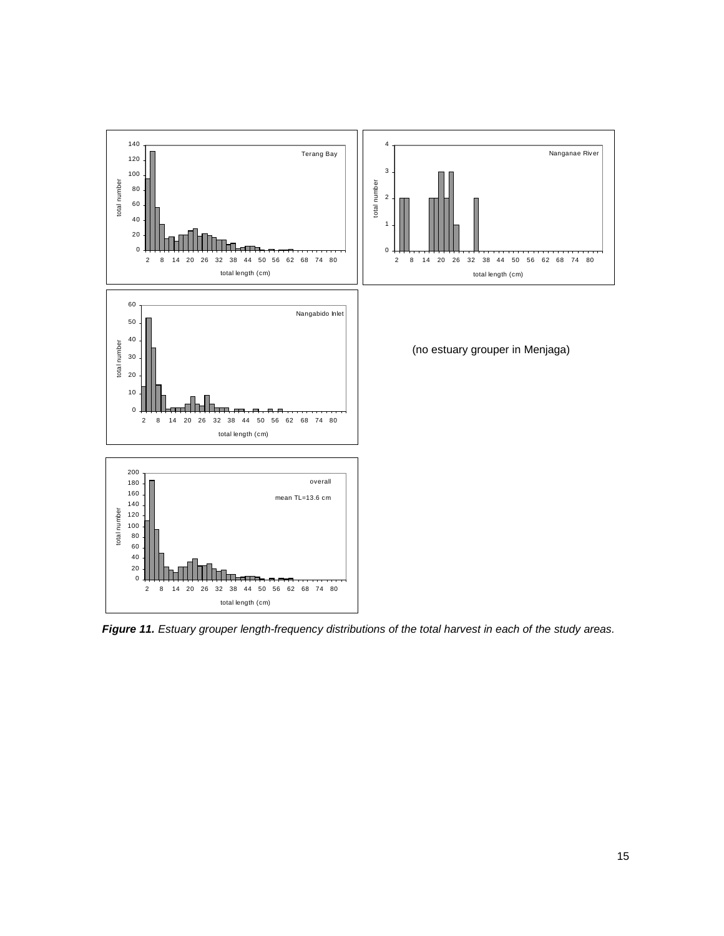

*Figure 11. Estuary grouper length-frequency distributions of the total harvest in each of the study areas.*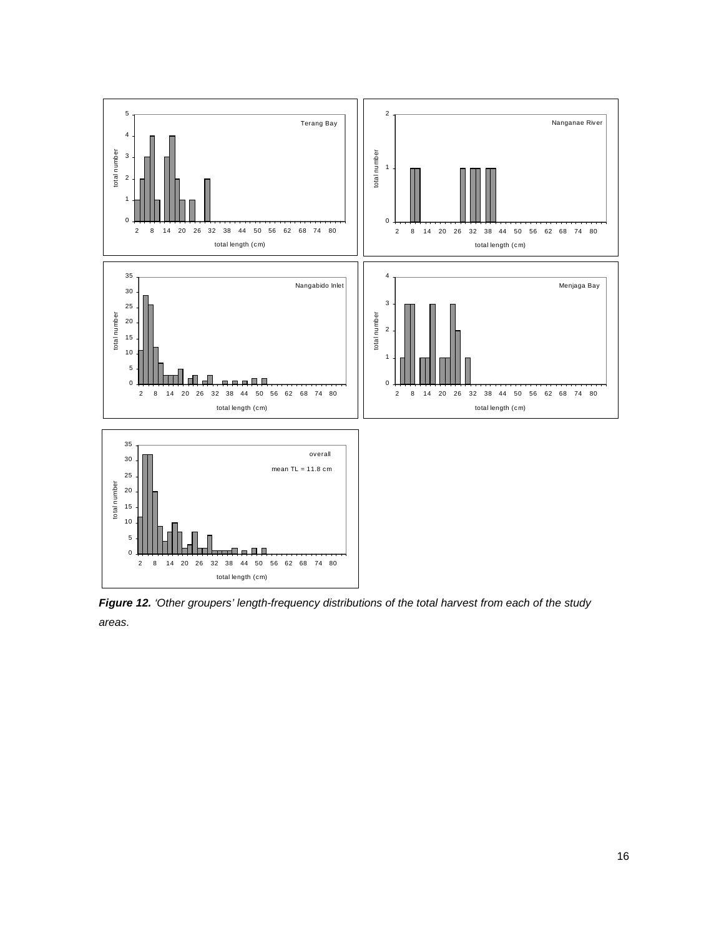

*Figure 12. 'Other groupers' length-frequency distributions of the total harvest from each of the study areas.*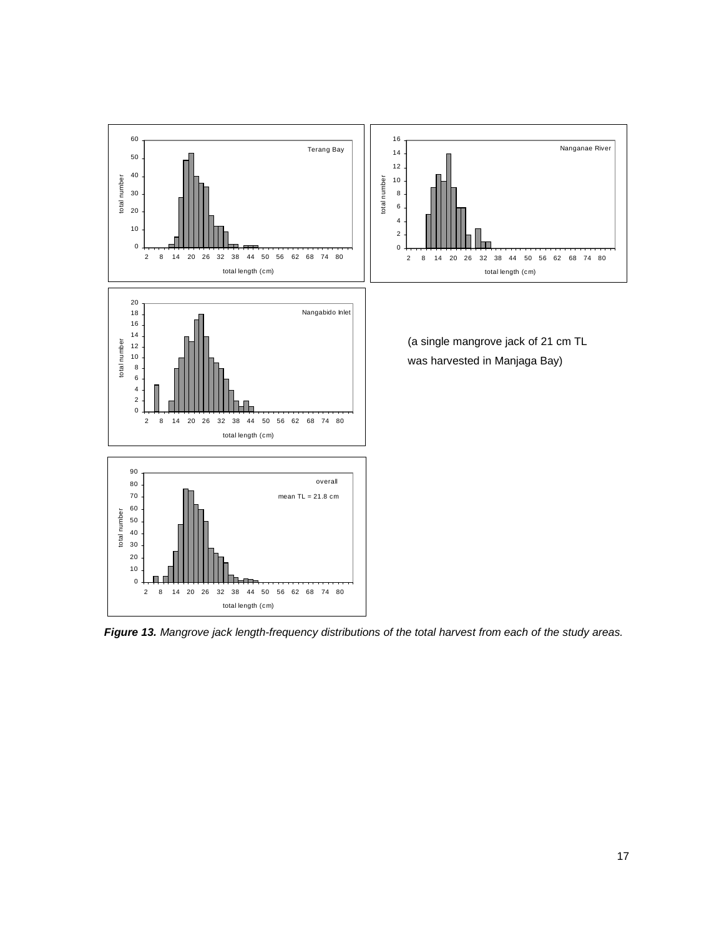

*Figure 13. Mangrove jack length-frequency distributions of the total harvest from each of the study areas.*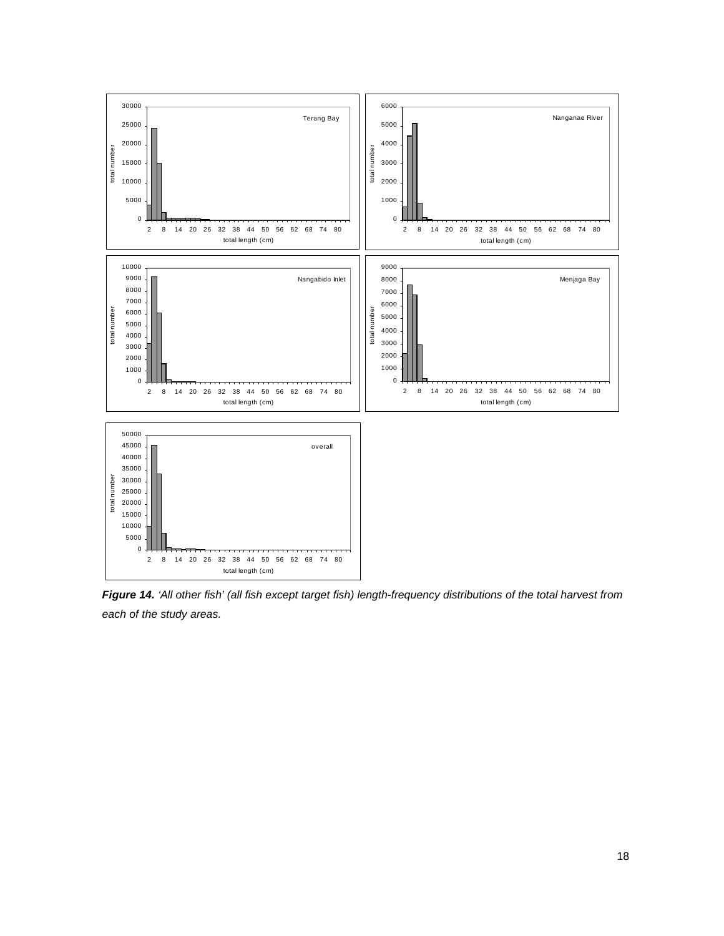

*Figure 14. 'All other fish' (all fish except target fish) length-frequency distributions of the total harvest from each of the study areas.*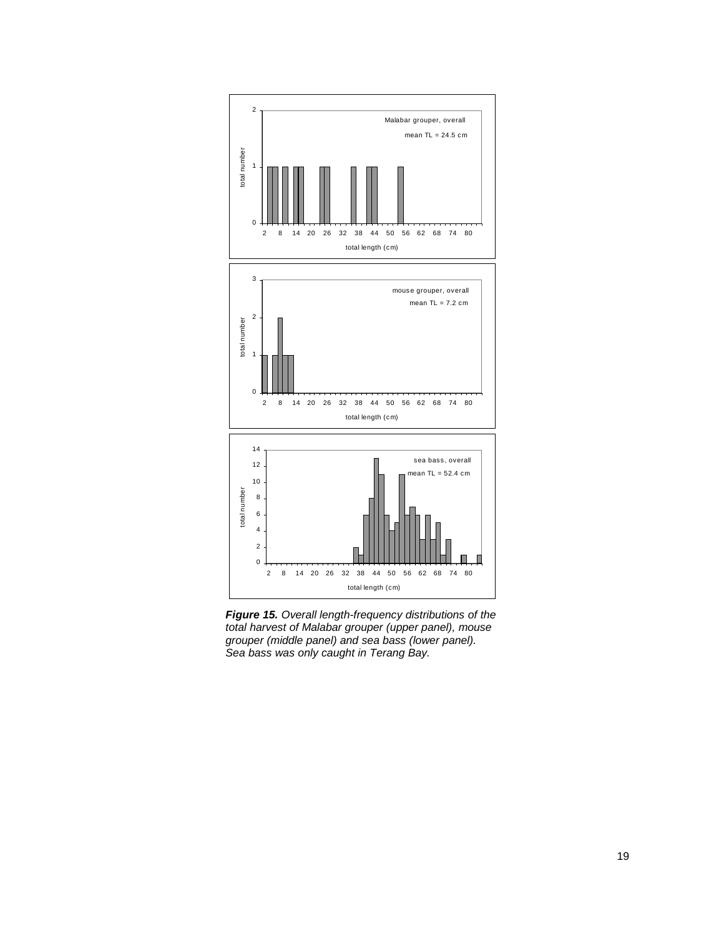

*Figure 15. Overall length-frequency distributions of the total harvest of Malabar grouper (upper panel), mouse grouper (middle panel) and sea bass (lower panel). Sea bass was only caught in Terang Bay.*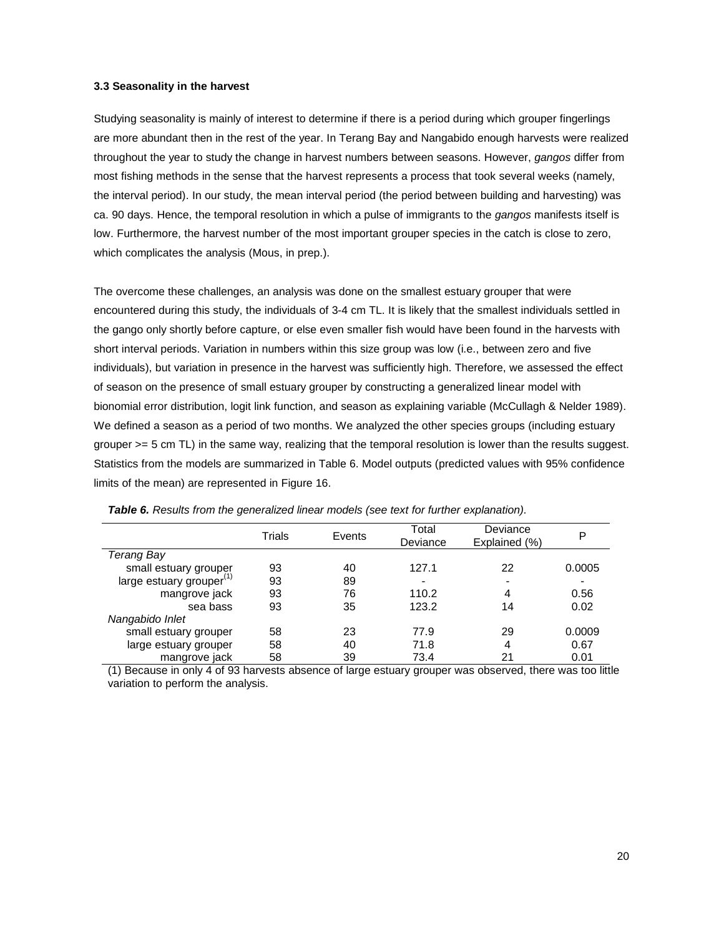#### **3.3 Seasonality in the harvest**

Studying seasonality is mainly of interest to determine if there is a period during which grouper fingerlings are more abundant then in the rest of the year. In Terang Bay and Nangabido enough harvests were realized throughout the year to study the change in harvest numbers between seasons. However, *gangos* differ from most fishing methods in the sense that the harvest represents a process that took several weeks (namely, the interval period). In our study, the mean interval period (the period between building and harvesting) was ca. 90 days. Hence, the temporal resolution in which a pulse of immigrants to the *gangos* manifests itself is low. Furthermore, the harvest number of the most important grouper species in the catch is close to zero, which complicates the analysis (Mous, in prep.).

The overcome these challenges, an analysis was done on the smallest estuary grouper that were encountered during this study, the individuals of 3-4 cm TL. It is likely that the smallest individuals settled in the gango only shortly before capture, or else even smaller fish would have been found in the harvests with short interval periods. Variation in numbers within this size group was low (i.e., between zero and five individuals), but variation in presence in the harvest was sufficiently high. Therefore, we assessed the effect of season on the presence of small estuary grouper by constructing a generalized linear model with bionomial error distribution, logit link function, and season as explaining variable (McCullagh & Nelder 1989). We defined a season as a period of two months. We analyzed the other species groups (including estuary grouper >= 5 cm TL) in the same way, realizing that the temporal resolution is lower than the results suggest. Statistics from the models are summarized in Table 6. Model outputs (predicted values with 95% confidence limits of the mean) are represented in Figure 16.

|                                      | Trials | Events | Total<br>Deviance | Deviance<br>Explained (%) | P                        |
|--------------------------------------|--------|--------|-------------------|---------------------------|--------------------------|
| Terang Bay                           |        |        |                   |                           |                          |
| small estuary grouper                | 93     | 40     | 127.1             | 22                        | 0.0005                   |
| large estuary grouper <sup>(1)</sup> | 93     | 89     |                   | $\,$                      | $\overline{\phantom{0}}$ |
| mangrove jack                        | 93     | 76     | 110.2             | 4                         | 0.56                     |
| sea bass                             | 93     | 35     | 123.2             | 14                        | 0.02                     |
| Nangabido Inlet                      |        |        |                   |                           |                          |
| small estuary grouper                | 58     | 23     | 77.9              | 29                        | 0.0009                   |
| large estuary grouper                | 58     | 40     | 71.8              | 4                         | 0.67                     |
| mangrove jack                        | 58     | 39     | 73.4              | 21                        | 0.01                     |

| <b>Table 6.</b> Results from the generalized linear models (see text for further explanation). |  |
|------------------------------------------------------------------------------------------------|--|
|                                                                                                |  |

(1) Because in only 4 of 93 harvests absence of large estuary grouper was observed, there was too little variation to perform the analysis.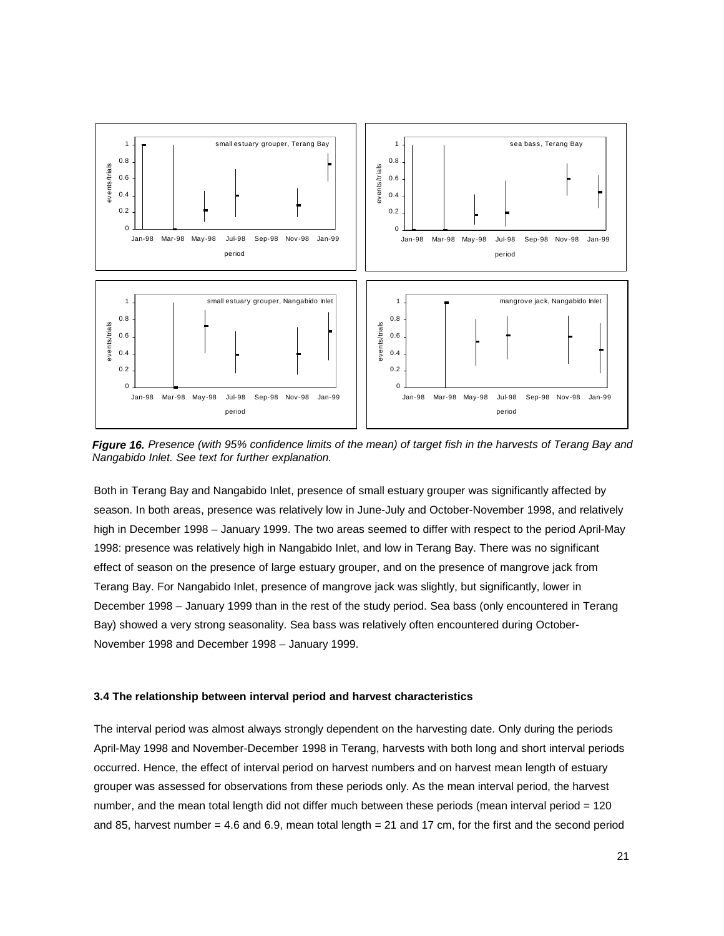

*Figure 16. Presence (with 95% confidence limits of the mean) of target fish in the harvests of Terang Bay and Nangabido Inlet. See text for further explanation.* 

Both in Terang Bay and Nangabido Inlet, presence of small estuary grouper was significantly affected by season. In both areas, presence was relatively low in June-July and October-November 1998, and relatively high in December 1998 – January 1999. The two areas seemed to differ with respect to the period April-May 1998: presence was relatively high in Nangabido Inlet, and low in Terang Bay. There was no significant effect of season on the presence of large estuary grouper, and on the presence of mangrove jack from Terang Bay. For Nangabido Inlet, presence of mangrove jack was slightly, but significantly, lower in December 1998 – January 1999 than in the rest of the study period. Sea bass (only encountered in Terang Bay) showed a very strong seasonality. Sea bass was relatively often encountered during October-November 1998 and December 1998 – January 1999.

#### **3.4 The relationship between interval period and harvest characteristics**

The interval period was almost always strongly dependent on the harvesting date. Only during the periods April-May 1998 and November-December 1998 in Terang, harvests with both long and short interval periods occurred. Hence, the effect of interval period on harvest numbers and on harvest mean length of estuary grouper was assessed for observations from these periods only. As the mean interval period, the harvest number, and the mean total length did not differ much between these periods (mean interval period = 120 and 85, harvest number  $= 4.6$  and 6.9, mean total length  $= 21$  and 17 cm, for the first and the second period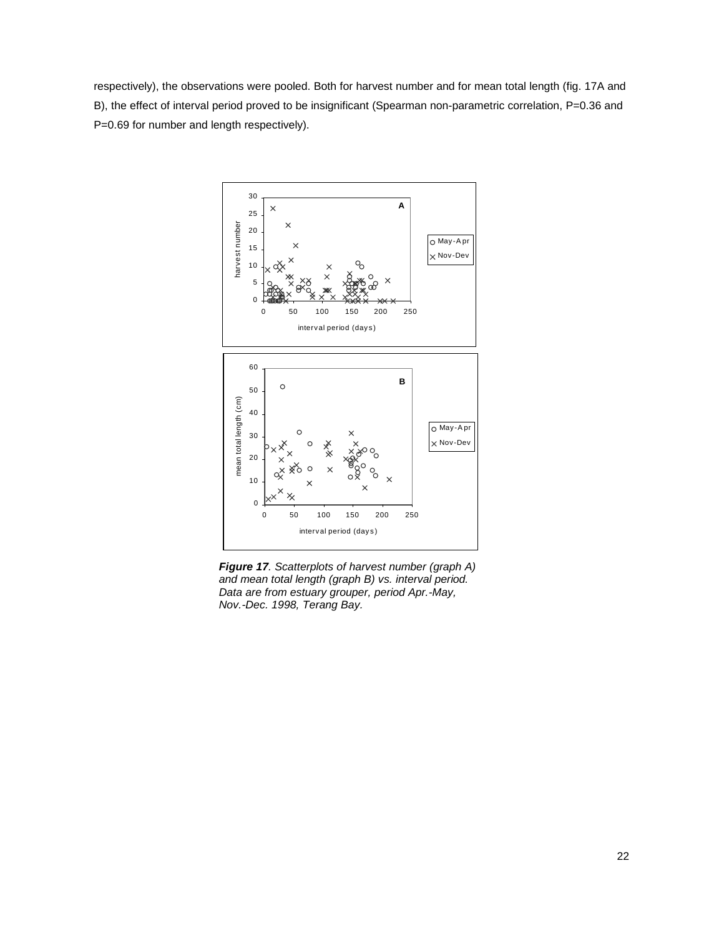respectively), the observations were pooled. Both for harvest number and for mean total length (fig. 17A and B), the effect of interval period proved to be insignificant (Spearman non-parametric correlation, P=0.36 and P=0.69 for number and length respectively).



*Figure 17. Scatterplots of harvest number (graph A) and mean total length (graph B) vs. interval period. Data are from estuary grouper, period Apr.-May, Nov.-Dec. 1998, Terang Bay.*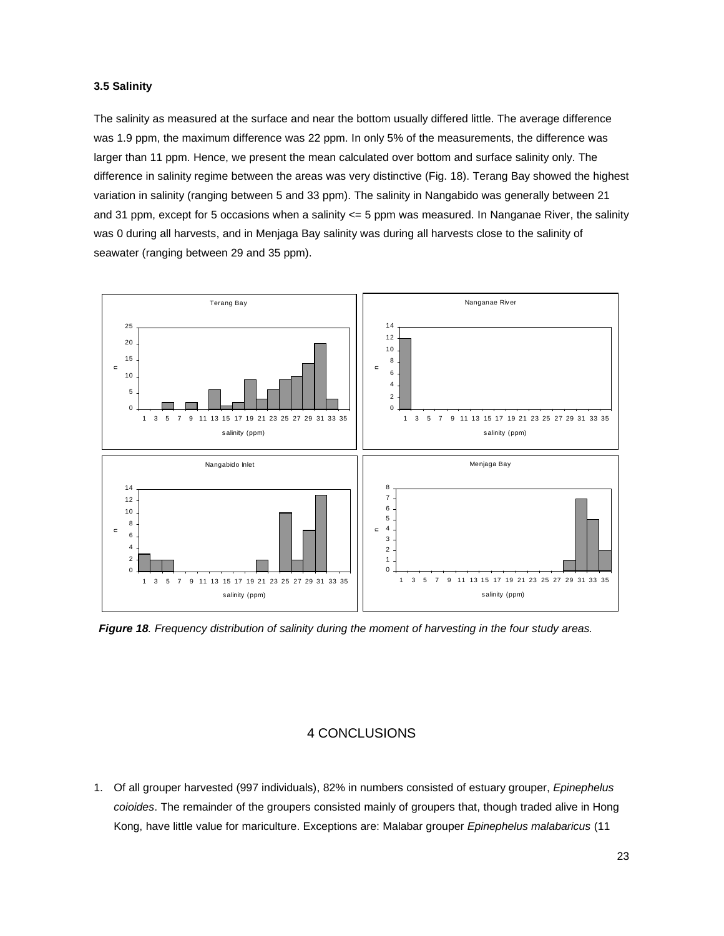#### **3.5 Salinity**

The salinity as measured at the surface and near the bottom usually differed little. The average difference was 1.9 ppm, the maximum difference was 22 ppm. In only 5% of the measurements, the difference was larger than 11 ppm. Hence, we present the mean calculated over bottom and surface salinity only. The difference in salinity regime between the areas was very distinctive (Fig. 18). Terang Bay showed the highest variation in salinity (ranging between 5 and 33 ppm). The salinity in Nangabido was generally between 21 and 31 ppm, except for 5 occasions when a salinity <= 5 ppm was measured. In Nanganae River, the salinity was 0 during all harvests, and in Menjaga Bay salinity was during all harvests close to the salinity of seawater (ranging between 29 and 35 ppm).



*Figure 18. Frequency distribution of salinity during the moment of harvesting in the four study areas.* 

#### 4 CONCLUSIONS

1. Of all grouper harvested (997 individuals), 82% in numbers consisted of estuary grouper, *Epinephelus coioides*. The remainder of the groupers consisted mainly of groupers that, though traded alive in Hong Kong, have little value for mariculture. Exceptions are: Malabar grouper *Epinephelus malabaricus* (11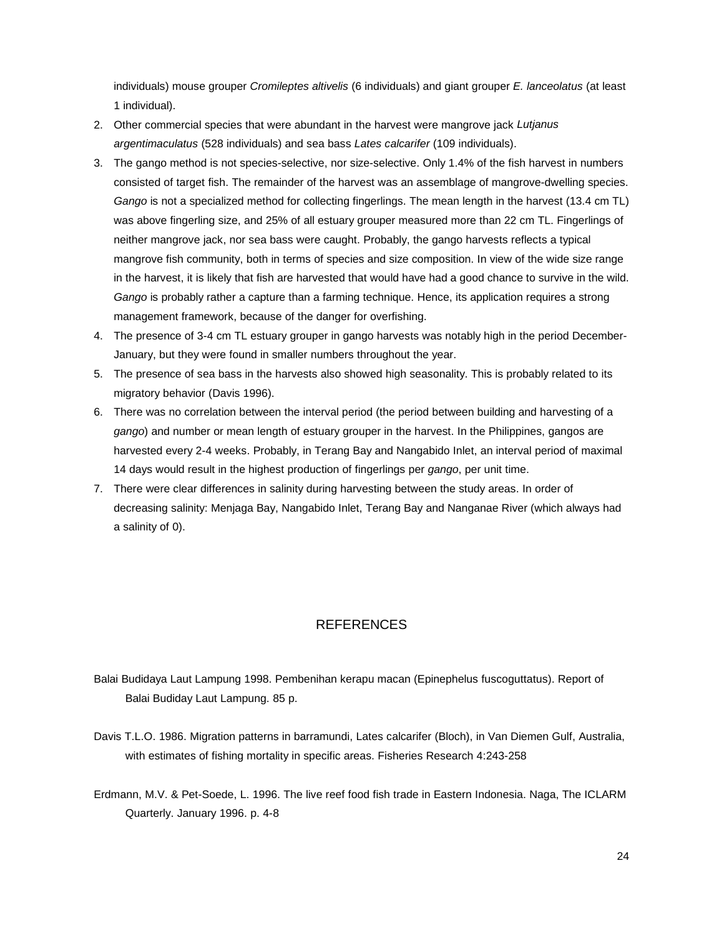individuals) mouse grouper *Cromileptes altivelis* (6 individuals) and giant grouper *E. lanceolatus* (at least 1 individual).

- 2. Other commercial species that were abundant in the harvest were mangrove jack *Lutjanus argentimaculatus* (528 individuals) and sea bass *Lates calcarifer* (109 individuals).
- 3. The gango method is not species-selective, nor size-selective. Only 1.4% of the fish harvest in numbers consisted of target fish. The remainder of the harvest was an assemblage of mangrove-dwelling species. *Gango* is not a specialized method for collecting fingerlings. The mean length in the harvest (13.4 cm TL) was above fingerling size, and 25% of all estuary grouper measured more than 22 cm TL. Fingerlings of neither mangrove jack, nor sea bass were caught. Probably, the gango harvests reflects a typical mangrove fish community, both in terms of species and size composition. In view of the wide size range in the harvest, it is likely that fish are harvested that would have had a good chance to survive in the wild. *Gango* is probably rather a capture than a farming technique. Hence, its application requires a strong management framework, because of the danger for overfishing.
- 4. The presence of 3-4 cm TL estuary grouper in gango harvests was notably high in the period December-January, but they were found in smaller numbers throughout the year.
- 5. The presence of sea bass in the harvests also showed high seasonality. This is probably related to its migratory behavior (Davis 1996).
- 6. There was no correlation between the interval period (the period between building and harvesting of a *gango*) and number or mean length of estuary grouper in the harvest. In the Philippines, gangos are harvested every 2-4 weeks. Probably, in Terang Bay and Nangabido Inlet, an interval period of maximal 14 days would result in the highest production of fingerlings per *gango*, per unit time.
- 7. There were clear differences in salinity during harvesting between the study areas. In order of decreasing salinity: Menjaga Bay, Nangabido Inlet, Terang Bay and Nanganae River (which always had a salinity of 0).

## REFERENCES

Balai Budidaya Laut Lampung 1998. Pembenihan kerapu macan (Epinephelus fuscoguttatus). Report of Balai Budiday Laut Lampung. 85 p.

- Davis T.L.O. 1986. Migration patterns in barramundi, Lates calcarifer (Bloch), in Van Diemen Gulf, Australia, with estimates of fishing mortality in specific areas. Fisheries Research 4:243-258
- Erdmann, M.V. & Pet-Soede, L. 1996. The live reef food fish trade in Eastern Indonesia. Naga, The ICLARM Quarterly. January 1996. p. 4-8